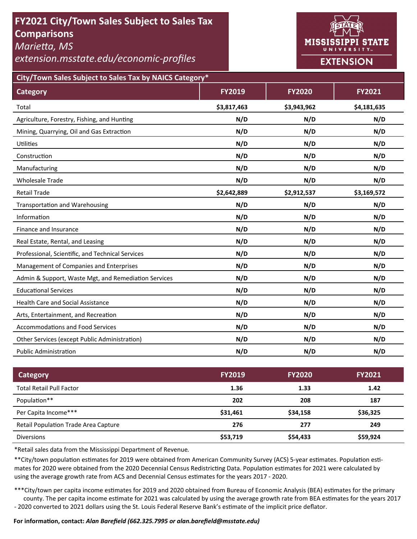# **FY2021 City/Town Sales Subject to Sales Tax Comparisons**

*MarieƩa, MS* 

*extension.msstate.edu/economic‐profiles* 



**City/Town Sales Subject to Sales Tax by NAICS Category\***

| <b>Category</b>                                      | <b>FY2019</b> | <b>FY2020</b> | FY2021      |
|------------------------------------------------------|---------------|---------------|-------------|
| Total                                                | \$3,817,463   | \$3,943,962   | \$4,181,635 |
| Agriculture, Forestry, Fishing, and Hunting          | N/D           | N/D           | N/D         |
| Mining, Quarrying, Oil and Gas Extraction            | N/D           | N/D           | N/D         |
| Utilities                                            | N/D           | N/D           | N/D         |
| Construction                                         | N/D           | N/D           | N/D         |
| Manufacturing                                        | N/D           | N/D           | N/D         |
| <b>Wholesale Trade</b>                               | N/D           | N/D           | N/D         |
| <b>Retail Trade</b>                                  | \$2,642,889   | \$2,912,537   | \$3,169,572 |
| <b>Transportation and Warehousing</b>                | N/D           | N/D           | N/D         |
| Information                                          | N/D           | N/D           | N/D         |
| Finance and Insurance                                | N/D           | N/D           | N/D         |
| Real Estate, Rental, and Leasing                     | N/D           | N/D           | N/D         |
| Professional, Scientific, and Technical Services     | N/D           | N/D           | N/D         |
| Management of Companies and Enterprises              | N/D           | N/D           | N/D         |
| Admin & Support, Waste Mgt, and Remediation Services | N/D           | N/D           | N/D         |
| <b>Educational Services</b>                          | N/D           | N/D           | N/D         |
| <b>Health Care and Social Assistance</b>             | N/D           | N/D           | N/D         |
| Arts, Entertainment, and Recreation                  | N/D           | N/D           | N/D         |
| <b>Accommodations and Food Services</b>              | N/D           | N/D           | N/D         |
| Other Services (except Public Administration)        | N/D           | N/D           | N/D         |
| <b>Public Administration</b>                         | N/D           | N/D           | N/D         |

| Category                                    | <b>FY2019</b> | <b>FY2020</b> | <b>FY2021</b> |
|---------------------------------------------|---------------|---------------|---------------|
| <b>Total Retail Pull Factor</b>             | 1.36          | 1.33          | 1.42          |
| Population**                                | 202           | 208           | 187           |
| Per Capita Income***                        | \$31,461      | \$34,158      | \$36,325      |
| <b>Retail Population Trade Area Capture</b> | 276           | 277           | 249           |
| <b>Diversions</b>                           | \$53,719      | \$54,433      | \$59,924      |

\*Retail sales data from the Mississippi Department of Revenue*.* 

\*\*City/town population estimates for 2019 were obtained from American Community Survey (ACS) 5-year estimates. Population estimates for 2020 were obtained from the 2020 Decennial Census Redistricting Data. Population estimates for 2021 were calculated by using the average growth rate from ACS and Decennial Census estimates for the years 2017 - 2020.

\*\*\*City/town per capita income estimates for 2019 and 2020 obtained from Bureau of Economic Analysis (BEA) estimates for the primary county. The per capita income estimate for 2021 was calculated by using the average growth rate from BEA estimates for the years 2017 - 2020 converted to 2021 dollars using the St. Louis Federal Reserve Bank's estimate of the implicit price deflator.

### **For informaƟon, contact:** *Alan Barefield (662.325.7995 or alan.barefield@msstate.edu)*